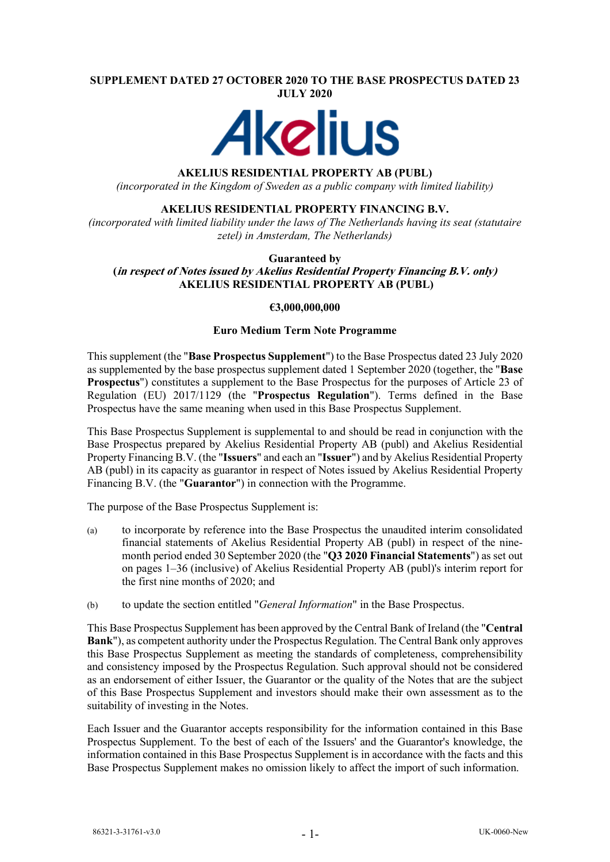#### **SUPPLEMENT DATED 27 OCTOBER 2020 TO THE BASE PROSPECTUS DATED 23 JULY 2020**



## **AKELIUS RESIDENTIAL PROPERTY AB (PUBL)**

*(incorporated in the Kingdom of Sweden as a public company with limited liability)*

## **AKELIUS RESIDENTIAL PROPERTY FINANCING B.V.**

*(incorporated with limited liability under the laws of The Netherlands having its seat (statutaire zetel) in Amsterdam, The Netherlands)*

#### **Guaranteed by (in respect of Notes issued by Akelius Residential Property Financing B.V. only) AKELIUS RESIDENTIAL PROPERTY AB (PUBL)**

## **€3,000,000,000**

#### **Euro Medium Term Note Programme**

This supplement (the "**Base Prospectus Supplement**") to the Base Prospectus dated 23 July 2020 as supplemented by the base prospectus supplement dated 1 September 2020 (together, the "**Base Prospectus**") constitutes a supplement to the Base Prospectus for the purposes of Article 23 of Regulation (EU) 2017/1129 (the "**Prospectus Regulation**"). Terms defined in the Base Prospectus have the same meaning when used in this Base Prospectus Supplement.

This Base Prospectus Supplement is supplemental to and should be read in conjunction with the Base Prospectus prepared by Akelius Residential Property AB (publ) and Akelius Residential Property Financing B.V. (the "**Issuers**" and each an "**Issuer**") and by Akelius Residential Property AB (publ) in its capacity as guarantor in respect of Notes issued by Akelius Residential Property Financing B.V. (the "**Guarantor**") in connection with the Programme.

The purpose of the Base Prospectus Supplement is:

- (a) to incorporate by reference into the Base Prospectus the unaudited interim consolidated financial statements of Akelius Residential Property AB (publ) in respect of the ninemonth period ended 30 September 2020 (the "**Q3 2020 Financial Statements**") as set out on pages 1–36 (inclusive) of Akelius Residential Property AB (publ)'s interim report for the first nine months of 2020; and
- (b) to update the section entitled "*General Information*" in the Base Prospectus.

This Base Prospectus Supplement has been approved by the Central Bank of Ireland (the "**Central Bank**"), as competent authority under the Prospectus Regulation. The Central Bank only approves this Base Prospectus Supplement as meeting the standards of completeness, comprehensibility and consistency imposed by the Prospectus Regulation. Such approval should not be considered as an endorsement of either Issuer, the Guarantor or the quality of the Notes that are the subject of this Base Prospectus Supplement and investors should make their own assessment as to the suitability of investing in the Notes.

Each Issuer and the Guarantor accepts responsibility for the information contained in this Base Prospectus Supplement. To the best of each of the Issuers' and the Guarantor's knowledge, the information contained in this Base Prospectus Supplement is in accordance with the facts and this Base Prospectus Supplement makes no omission likely to affect the import of such information.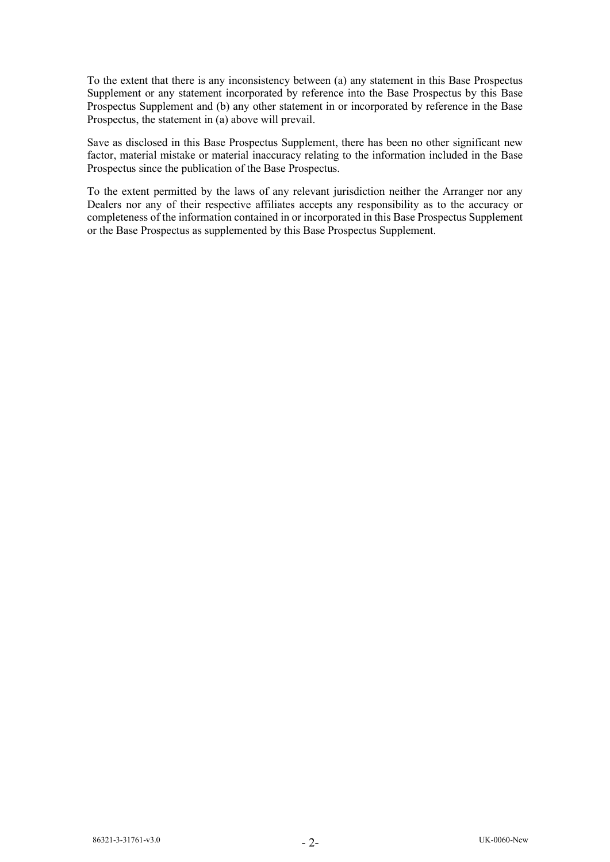To the extent that there is any inconsistency between (a) any statement in this Base Prospectus Supplement or any statement incorporated by reference into the Base Prospectus by this Base Prospectus Supplement and (b) any other statement in or incorporated by reference in the Base Prospectus, the statement in (a) above will prevail.

Save as disclosed in this Base Prospectus Supplement, there has been no other significant new factor, material mistake or material inaccuracy relating to the information included in the Base Prospectus since the publication of the Base Prospectus.

To the extent permitted by the laws of any relevant jurisdiction neither the Arranger nor any Dealers nor any of their respective affiliates accepts any responsibility as to the accuracy or completeness of the information contained in or incorporated in this Base Prospectus Supplement or the Base Prospectus as supplemented by this Base Prospectus Supplement.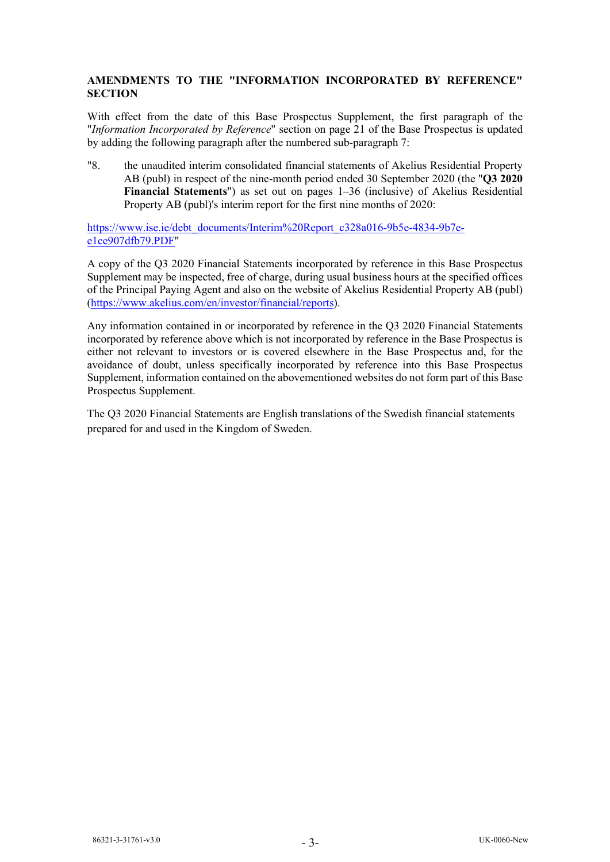# **AMENDMENTS TO THE "INFORMATION INCORPORATED BY REFERENCE" SECTION**

With effect from the date of this Base Prospectus Supplement, the first paragraph of the "*Information Incorporated by Reference*" section on page 21 of the Base Prospectus is updated by adding the following paragraph after the numbered sub-paragraph 7:

"8. the unaudited interim consolidated financial statements of Akelius Residential Property AB (publ) in respect of the nine-month period ended 30 September 2020 (the "**Q3 2020 Financial Statements**") as set out on pages 1–36 (inclusive) of Akelius Residential Property AB (publ)'s interim report for the first nine months of 2020:

[https://www.ise.ie/debt\\_documents/Interim%20Report\\_c328a016-9b5e-4834-9b7e](https://www.ise.ie/debt_documents/Interim%20Report_c328a016-9b5e-4834-9b7e-e1ce907dfb79.PDF)[e1ce907dfb79.PDF"](https://www.ise.ie/debt_documents/Interim%20Report_c328a016-9b5e-4834-9b7e-e1ce907dfb79.PDF)

A copy of the Q3 2020 Financial Statements incorporated by reference in this Base Prospectus Supplement may be inspected, free of charge, during usual business hours at the specified offices of the Principal Paying Agent and also on the website of Akelius Residential Property AB (publ) [\(https://www.akelius.com/en/investor/financial/reports\)](https://www.akelius.com/en/investor/financial/reports).

Any information contained in or incorporated by reference in the Q3 2020 Financial Statements incorporated by reference above which is not incorporated by reference in the Base Prospectus is either not relevant to investors or is covered elsewhere in the Base Prospectus and, for the avoidance of doubt, unless specifically incorporated by reference into this Base Prospectus Supplement, information contained on the abovementioned websites do not form part of this Base Prospectus Supplement.

The Q3 2020 Financial Statements are English translations of the Swedish financial statements prepared for and used in the Kingdom of Sweden.